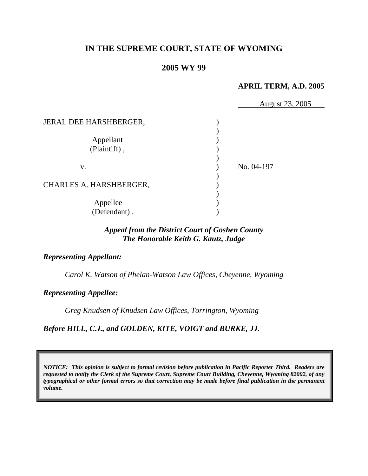## **IN THE SUPREME COURT, STATE OF WYOMING**

### **2005 WY 99**

#### **APRIL TERM, A.D. 2005**

|                         | August 23, 2005 |
|-------------------------|-----------------|
| JERAL DEE HARSHBERGER,  |                 |
|                         |                 |
| Appellant               |                 |
| (Plaintiff),            |                 |
|                         |                 |
| V.                      | No. 04-197      |
|                         |                 |
| CHARLES A. HARSHBERGER, |                 |
|                         |                 |
| Appellee                |                 |
| (Defendant).            |                 |

## *Appeal from the District Court of Goshen County The Honorable Keith G. Kautz, Judge*

#### *Representing Appellant:*

*Carol K. Watson of Phelan-Watson Law Offices, Cheyenne, Wyoming* 

*Representing Appellee:*

*Greg Knudsen of Knudsen Law Offices, Torrington, Wyoming* 

*Before HILL, C.J., and GOLDEN, KITE, VOIGT and BURKE, JJ.* 

*NOTICE: This opinion is subject to formal revision before publication in Pacific Reporter Third. Readers are requested to notify the Clerk of the Supreme Court, Supreme Court Building, Cheyenne, Wyoming 82002, of any typographical or other formal errors so that correction may be made before final publication in the permanent volume.*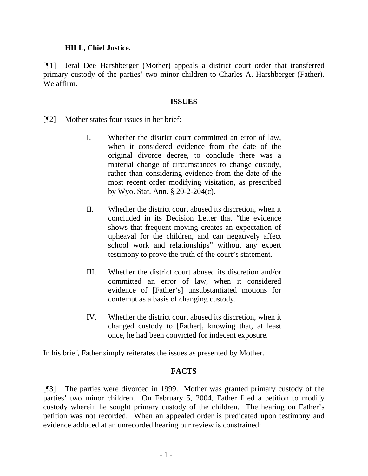#### **HILL, Chief Justice.**

[¶1] Jeral Dee Harshberger (Mother) appeals a district court order that transferred primary custody of the parties' two minor children to Charles A. Harshberger (Father). We affirm.

#### **ISSUES**

- [¶2] Mother states four issues in her brief:
	- I. Whether the district court committed an error of law, when it considered evidence from the date of the original divorce decree, to conclude there was a material change of circumstances to change custody, rather than considering evidence from the date of the most recent order modifying visitation, as prescribed by Wyo. Stat. Ann. § 20-2-204(c).
	- II. Whether the district court abused its discretion, when it concluded in its Decision Letter that "the evidence shows that frequent moving creates an expectation of upheaval for the children, and can negatively affect school work and relationships" without any expert testimony to prove the truth of the court's statement.
	- III. Whether the district court abused its discretion and/or committed an error of law, when it considered evidence of [Father's] unsubstantiated motions for contempt as a basis of changing custody.
	- IV. Whether the district court abused its discretion, when it changed custody to [Father], knowing that, at least once, he had been convicted for indecent exposure.

In his brief, Father simply reiterates the issues as presented by Mother.

## **FACTS**

[¶3] The parties were divorced in 1999. Mother was granted primary custody of the parties' two minor children. On February 5, 2004, Father filed a petition to modify custody wherein he sought primary custody of the children. The hearing on Father's petition was not recorded. When an appealed order is predicated upon testimony and evidence adduced at an unrecorded hearing our review is constrained: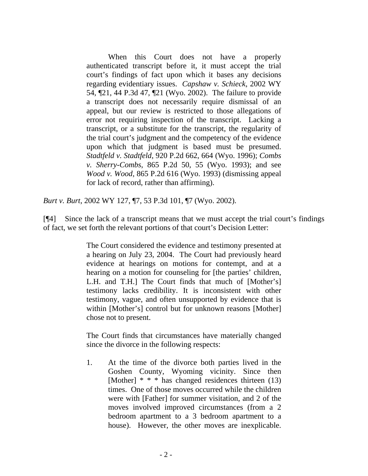When this Court does not have a properly authenticated transcript before it, it must accept the trial court's findings of fact upon which it bases any decisions regarding evidentiary issues. *Capshaw v. Schieck*, 2002 WY 54, ¶21, 44 P.3d 47, ¶21 (Wyo. 2002). The failure to provide a transcript does not necessarily require dismissal of an appeal, but our review is restricted to those allegations of error not requiring inspection of the transcript. Lacking a transcript, or a substitute for the transcript, the regularity of the trial court's judgment and the competency of the evidence upon which that judgment is based must be presumed. *Stadtfeld v. Stadtfeld*, 920 P.2d 662, 664 (Wyo. 1996); *Combs v. Sherry-Combs*, 865 P.2d 50, 55 (Wyo. 1993); and see *Wood v. Wood*, 865 P.2d 616 (Wyo. 1993) (dismissing appeal for lack of record, rather than affirming).

*Burt v. Burt*, 2002 WY 127, ¶7, 53 P.3d 101, ¶7 (Wyo. 2002).

[¶4] Since the lack of a transcript means that we must accept the trial court's findings of fact, we set forth the relevant portions of that court's Decision Letter:

> The Court considered the evidence and testimony presented at a hearing on July 23, 2004. The Court had previously heard evidence at hearings on motions for contempt, and at a hearing on a motion for counseling for [the parties' children, L.H. and T.H.] The Court finds that much of [Mother's] testimony lacks credibility. It is inconsistent with other testimony, vague, and often unsupported by evidence that is within [Mother's] control but for unknown reasons [Mother] chose not to present.

> The Court finds that circumstances have materially changed since the divorce in the following respects:

> 1. At the time of the divorce both parties lived in the Goshen County, Wyoming vicinity. Since then [Mother]  $* * *$  has changed residences thirteen (13) times. One of those moves occurred while the children were with [Father] for summer visitation, and 2 of the moves involved improved circumstances (from a 2 bedroom apartment to a 3 bedroom apartment to a house). However, the other moves are inexplicable.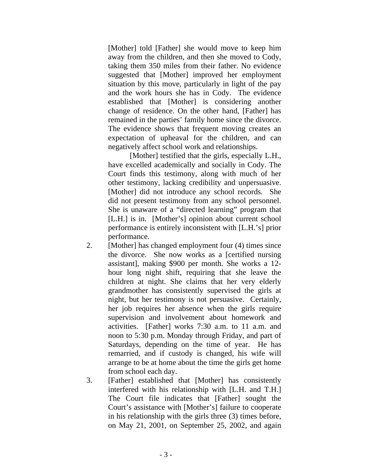[Mother] told [Father] she would move to keep him away from the children, and then she moved to Cody, taking them 350 miles from their father. No evidence suggested that [Mother] improved her employment situation by this move, particularly in light of the pay and the work hours she has in Cody. The evidence established that [Mother] is considering another change of residence. On the other hand, [Father] has remained in the parties' family home since the divorce. The evidence shows that frequent moving creates an expectation of upheaval for the children, and can negatively affect school work and relationships.

[Mother] testified that the girls, especially L.H., have excelled academically and socially in Cody. The Court finds this testimony, along with much of her other testimony, lacking credibility and unpersuasive. [Mother] did not introduce any school records. She did not present testimony from any school personnel. She is unaware of a "directed learning" program that [L.H.] is in. [Mother's] opinion about current school performance is entirely inconsistent with [L.H.'s] prior performance.

- 2. [Mother] has changed employment four (4) times since the divorce. She now works as a [certified nursing assistant], making \$900 per month. She works a 12 hour long night shift, requiring that she leave the children at night. She claims that her very elderly grandmother has consistently supervised the girls at night, but her testimony is not persuasive. Certainly, her job requires her absence when the girls require supervision and involvement about homework and activities. [Father] works 7:30 a.m. to 11 a.m. and noon to 5:30 p.m. Monday through Friday, and part of Saturdays, depending on the time of year. He has remarried, and if custody is changed, his wife will arrange to be at home about the time the girls get home from school each day.
- 3. [Father] established that [Mother] has consistently interfered with his relationship with [L.H. and T.H.] The Court file indicates that [Father] sought the Court's assistance with [Mother's] failure to cooperate in his relationship with the girls three (3) times before, on May 21, 2001, on September 25, 2002, and again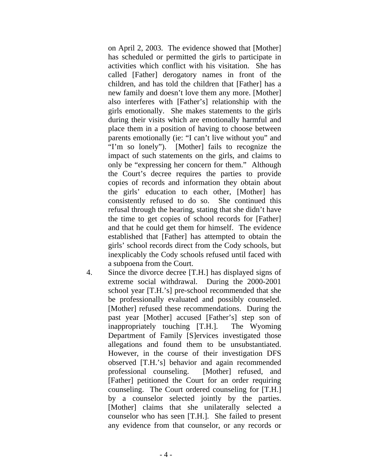on April 2, 2003. The evidence showed that [Mother] has scheduled or permitted the girls to participate in activities which conflict with his visitation. She has called [Father] derogatory names in front of the children, and has told the children that [Father] has a new family and doesn't love them any more. [Mother] also interferes with [Father's] relationship with the girls emotionally. She makes statements to the girls during their visits which are emotionally harmful and place them in a position of having to choose between parents emotionally (ie: "I can't live without you" and "I'm so lonely"). [Mother] fails to recognize the impact of such statements on the girls, and claims to only be "expressing her concern for them." Although the Court's decree requires the parties to provide copies of records and information they obtain about the girls' education to each other, [Mother] has consistently refused to do so. She continued this refusal through the hearing, stating that she didn't have the time to get copies of school records for [Father] and that he could get them for himself. The evidence established that [Father] has attempted to obtain the girls' school records direct from the Cody schools, but inexplicably the Cody schools refused until faced with a subpoena from the Court.

4. Since the divorce decree [T.H.] has displayed signs of extreme social withdrawal. During the 2000-2001 school year [T.H.'s] pre-school recommended that she be professionally evaluated and possibly counseled. [Mother] refused these recommendations. During the past year [Mother] accused [Father's] step son of inappropriately touching [T.H.]. The Wyoming Department of Family [S]ervices investigated those allegations and found them to be unsubstantiated. However, in the course of their investigation DFS observed [T.H.'s] behavior and again recommended professional counseling. [Mother] refused, and [Father] petitioned the Court for an order requiring counseling. The Court ordered counseling for [T.H.] by a counselor selected jointly by the parties. [Mother] claims that she unilaterally selected a counselor who has seen [T.H.]. She failed to present any evidence from that counselor, or any records or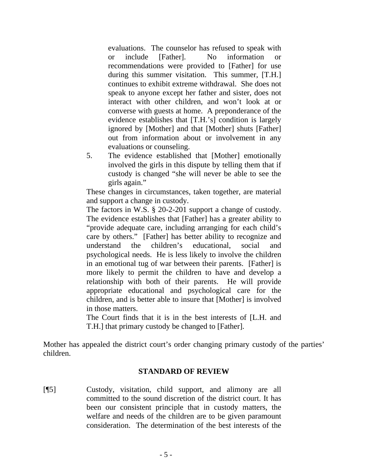evaluations. The counselor has refused to speak with or include [Father]. No information or recommendations were provided to [Father] for use during this summer visitation. This summer, [T.H.] continues to exhibit extreme withdrawal. She does not speak to anyone except her father and sister, does not interact with other children, and won't look at or converse with guests at home. A preponderance of the evidence establishes that [T.H.'s] condition is largely ignored by [Mother] and that [Mother] shuts [Father] out from information about or involvement in any evaluations or counseling.

5. The evidence established that [Mother] emotionally involved the girls in this dispute by telling them that if custody is changed "she will never be able to see the girls again."

These changes in circumstances, taken together, are material and support a change in custody.

The factors in W.S. § 20-2-201 support a change of custody. The evidence establishes that [Father] has a greater ability to "provide adequate care, including arranging for each child's care by others." [Father] has better ability to recognize and understand the children's educational, social and psychological needs. He is less likely to involve the children in an emotional tug of war between their parents. [Father] is more likely to permit the children to have and develop a relationship with both of their parents. He will provide appropriate educational and psychological care for the children, and is better able to insure that [Mother] is involved in those matters.

The Court finds that it is in the best interests of [L.H. and T.H.] that primary custody be changed to [Father].

Mother has appealed the district court's order changing primary custody of the parties' children.

#### **STANDARD OF REVIEW**

[¶5] Custody, visitation, child support, and alimony are all committed to the sound discretion of the district court. It has been our consistent principle that in custody matters, the welfare and needs of the children are to be given paramount consideration. The determination of the best interests of the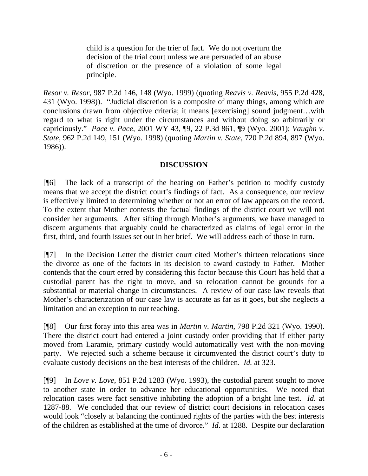child is a question for the trier of fact. We do not overturn the decision of the trial court unless we are persuaded of an abuse of discretion or the presence of a violation of some legal principle.

*Resor v. Resor*, 987 P.2d 146, 148 (Wyo. 1999) (quoting *Reavis v. Reavis*, 955 P.2d 428, 431 (Wyo. 1998)). "Judicial discretion is a composite of many things, among which are conclusions drawn from objective criteria; it means [exercising] sound judgment…with regard to what is right under the circumstances and without doing so arbitrarily or capriciously." *Pace v. Pace*, 2001 WY 43, ¶9, 22 P.3d 861, ¶9 (Wyo. 2001); *Vaughn v. State*, 962 P.2d 149, 151 (Wyo. 1998) (quoting *Martin v. State*, 720 P.2d 894, 897 (Wyo. 1986)).

# **DISCUSSION**

[¶6] The lack of a transcript of the hearing on Father's petition to modify custody means that we accept the district court's findings of fact. As a consequence, our review is effectively limited to determining whether or not an error of law appears on the record. To the extent that Mother contests the factual findings of the district court we will not consider her arguments. After sifting through Mother's arguments, we have managed to discern arguments that arguably could be characterized as claims of legal error in the first, third, and fourth issues set out in her brief. We will address each of those in turn.

[¶7] In the Decision Letter the district court cited Mother's thirteen relocations since the divorce as one of the factors in its decision to award custody to Father. Mother contends that the court erred by considering this factor because this Court has held that a custodial parent has the right to move, and so relocation cannot be grounds for a substantial or material change in circumstances. A review of our case law reveals that Mother's characterization of our case law is accurate as far as it goes, but she neglects a limitation and an exception to our teaching.

[¶8] Our first foray into this area was in *Martin v. Martin*, 798 P.2d 321 (Wyo. 1990). There the district court had entered a joint custody order providing that if either party moved from Laramie, primary custody would automatically vest with the non-moving party. We rejected such a scheme because it circumvented the district court's duty to evaluate custody decisions on the best interests of the children. *Id.* at 323.

[¶9] In *Love v. Love*, 851 P.2d 1283 (Wyo. 1993), the custodial parent sought to move to another state in order to advance her educational opportunities. We noted that relocation cases were fact sensitive inhibiting the adoption of a bright line test. *Id.* at 1287-88. We concluded that our review of district court decisions in relocation cases would look "closely at balancing the continued rights of the parties with the best interests of the children as established at the time of divorce." *Id*. at 1288. Despite our declaration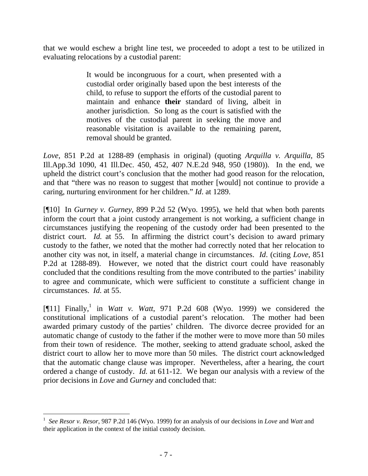that we would eschew a bright line test, we proceeded to adopt a test to be utilized in evaluating relocations by a custodial parent:

> It would be incongruous for a court, when presented with a custodial order originally based upon the best interests of the child, to refuse to support the efforts of the custodial parent to maintain and enhance **their** standard of living, albeit in another jurisdiction. So long as the court is satisfied with the motives of the custodial parent in seeking the move and reasonable visitation is available to the remaining parent, removal should be granted.

*Love*, 851 P.2d at 1288-89 (emphasis in original) (quoting *Arquilla v. Arquilla*, 85 Ill.App.3d 1090, 41 Ill.Dec. 450, 452, 407 N.E.2d 948, 950 (1980)). In the end, we upheld the district court's conclusion that the mother had good reason for the relocation, and that "there was no reason to suggest that mother [would] not continue to provide a caring, nurturing environment for her children." *Id*. at 1289.

[¶10] In *Gurney v. Gurney*, 899 P.2d 52 (Wyo. 1995), we held that when both parents inform the court that a joint custody arrangement is not working, a sufficient change in circumstances justifying the reopening of the custody order had been presented to the district court. *Id.* at 55. In affirming the district court's decision to award primary custody to the father, we noted that the mother had correctly noted that her relocation to another city was not, in itself, a material change in circumstances. *Id*. (citing *Love*, 851 P.2d at 1288-89). However, we noted that the district court could have reasonably concluded that the conditions resulting from the move contributed to the parties' inability to agree and communicate, which were sufficient to constitute a sufficient change in circumstances. *Id.* at 55.

[¶11] Finally,<sup>1</sup> in *Watt v. Watt*, 971 P.2d 608 (Wyo. 1999) we considered the constitutional implications of a custodial parent's relocation. The mother had been awarded primary custody of the parties' children. The divorce decree provided for an automatic change of custody to the father if the mother were to move more than 50 miles from their town of residence. The mother, seeking to attend graduate school, asked the district court to allow her to move more than 50 miles. The district court acknowledged that the automatic change clause was improper. Nevertheless, after a hearing, the court ordered a change of custody. *Id.* at 611-12. We began our analysis with a review of the prior decisions in *Love* and *Gurney* and concluded that:

<span id="page-8-0"></span><sup>1</sup> *See Resor v. Resor*, 987 P.2d 146 (Wyo. 1999) for an analysis of our decisions in *Love* and *Watt* and their application in the context of the initial custody decision.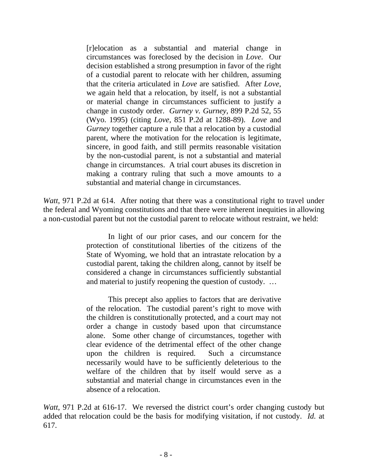[r]elocation as a substantial and material change in circumstances was foreclosed by the decision in *Love*. Our decision established a strong presumption in favor of the right of a custodial parent to relocate with her children, assuming that the criteria articulated in *Love* are satisfied. After *Love*, we again held that a relocation, by itself, is not a substantial or material change in circumstances sufficient to justify a change in custody order. *Gurney v. Gurney*, 899 P.2d 52, 55 (Wyo. 1995) (citing *Love*, 851 P.2d at 1288-89). *Love* and *Gurney* together capture a rule that a relocation by a custodial parent, where the motivation for the relocation is legitimate, sincere, in good faith, and still permits reasonable visitation by the non-custodial parent, is not a substantial and material change in circumstances. A trial court abuses its discretion in making a contrary ruling that such a move amounts to a substantial and material change in circumstances.

*Watt*, 971 P.2d at 614. After noting that there was a constitutional right to travel under the federal and Wyoming constitutions and that there were inherent inequities in allowing a non-custodial parent but not the custodial parent to relocate without restraint, we held:

> In light of our prior cases, and our concern for the protection of constitutional liberties of the citizens of the State of Wyoming, we hold that an intrastate relocation by a custodial parent, taking the children along, cannot by itself be considered a change in circumstances sufficiently substantial and material to justify reopening the question of custody. …

> This precept also applies to factors that are derivative of the relocation. The custodial parent's right to move with the children is constitutionally protected, and a court may not order a change in custody based upon that circumstance alone. Some other change of circumstances, together with clear evidence of the detrimental effect of the other change upon the children is required. Such a circumstance necessarily would have to be sufficiently deleterious to the welfare of the children that by itself would serve as a substantial and material change in circumstances even in the absence of a relocation.

*Watt*, 971 P.2d at 616-17. We reversed the district court's order changing custody but added that relocation could be the basis for modifying visitation, if not custody. *Id.* at 617.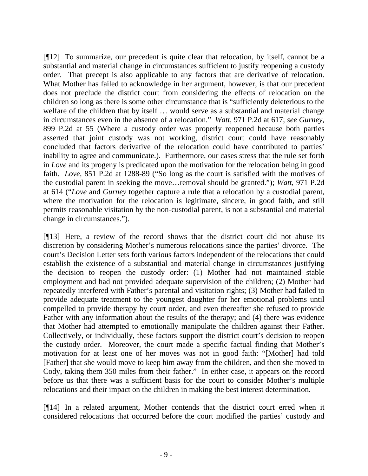[¶12] To summarize, our precedent is quite clear that relocation, by itself, cannot be a substantial and material change in circumstances sufficient to justify reopening a custody order. That precept is also applicable to any factors that are derivative of relocation. What Mother has failed to acknowledge in her argument, however, is that our precedent does not preclude the district court from considering the effects of relocation on the children so long as there is some other circumstance that is "sufficiently deleterious to the welfare of the children that by itself … would serve as a substantial and material change in circumstances even in the absence of a relocation." *Watt*, 971 P.2d at 617; *see Gurney*, 899 P.2d at 55 (Where a custody order was properly reopened because both parties asserted that joint custody was not working, district court could have reasonably concluded that factors derivative of the relocation could have contributed to parties' inability to agree and communicate.). Furthermore, our cases stress that the rule set forth in *Love* and its progeny is predicated upon the motivation for the relocation being in good faith. *Love*, 851 P.2d at 1288-89 ("So long as the court is satisfied with the motives of the custodial parent in seeking the move…removal should be granted."); *Watt*, 971 P.2d at 614 ("*Love* and *Gurney* together capture a rule that a relocation by a custodial parent, where the motivation for the relocation is legitimate, sincere, in good faith, and still permits reasonable visitation by the non-custodial parent, is not a substantial and material change in circumstances.").

[¶13] Here, a review of the record shows that the district court did not abuse its discretion by considering Mother's numerous relocations since the parties' divorce. The court's Decision Letter sets forth various factors independent of the relocations that could establish the existence of a substantial and material change in circumstances justifying the decision to reopen the custody order: (1) Mother had not maintained stable employment and had not provided adequate supervision of the children; (2) Mother had repeatedly interfered with Father's parental and visitation rights; (3) Mother had failed to provide adequate treatment to the youngest daughter for her emotional problems until compelled to provide therapy by court order, and even thereafter she refused to provide Father with any information about the results of the therapy; and (4) there was evidence that Mother had attempted to emotionally manipulate the children against their Father. Collectively, or individually, these factors support the district court's decision to reopen the custody order. Moreover, the court made a specific factual finding that Mother's motivation for at least one of her moves was not in good faith: "[Mother] had told [Father] that she would move to keep him away from the children, and then she moved to Cody, taking them 350 miles from their father." In either case, it appears on the record before us that there was a sufficient basis for the court to consider Mother's multiple relocations and their impact on the children in making the best interest determination.

[¶14] In a related argument, Mother contends that the district court erred when it considered relocations that occurred before the court modified the parties' custody and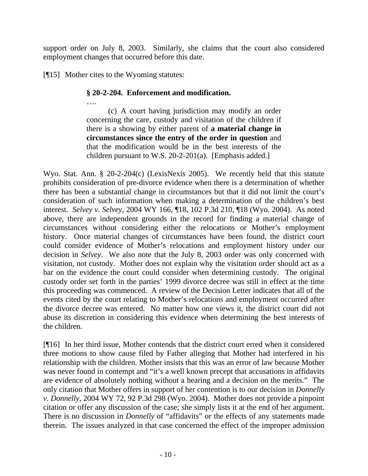support order on July 8, 2003. Similarly, she claims that the court also considered employment changes that occurred before this date.

[¶15] Mother cites to the Wyoming statutes:

## **§ 20-2-204. Enforcement and modification.**

…. (c) A court having jurisdiction may modify an order concerning the care, custody and visitation of the children if there is a showing by either parent of **a material change in circumstances since the entry of the order in question** and that the modification would be in the best interests of the children pursuant to W.S. 20-2-201(a). [Emphasis added.]

Wyo. Stat. Ann. § 20-2-204(c) (LexisNexis 2005). We recently held that this statute prohibits consideration of pre-divorce evidence when there is a determination of whether there has been a substantial change in circumstances but that it did not limit the court's consideration of such information when making a determination of the children's best interest. *Selvey v. Selvey*, 2004 WY 166, ¶18, 102 P.3d 210, ¶18 (Wyo. 2004). As noted above, there are independent grounds in the record for finding a material change of circumstances without considering either the relocations or Mother's employment history. Once material changes of circumstances have been found, the district court could consider evidence of Mother's relocations and employment history under our decision in *Selvey*. We also note that the July 8, 2003 order was only concerned with visitation, not custody. Mother does not explain why the visitation order should act as a bar on the evidence the court could consider when determining custody. The original custody order set forth in the parties' 1999 divorce decree was still in effect at the time this proceeding was commenced. A review of the Decision Letter indicates that all of the events cited by the court relating to Mother's relocations and employment occurred after the divorce decree was entered. No matter how one views it, the district court did not abuse its discretion in considering this evidence when determining the best interests of the children.

[¶16] In her third issue, Mother contends that the district court erred when it considered three motions to show cause filed by Father alleging that Mother had interfered in his relationship with the children. Mother insists that this was an error of law because Mother was never found in contempt and "it's a well known precept that accusations in affidavits are evidence of absolutely nothing without a hearing and a decision on the merits." The only citation that Mother offers in support of her contention is to our decision in *Donnelly v. Donnelly*, 2004 WY 72, 92 P.3d 298 (Wyo. 2004). Mother does not provide a pinpoint citation or offer any discussion of the case; she simply lists it at the end of her argument. There is no discussion in *Donnelly* of "affidavits" or the effects of any statements made therein. The issues analyzed in that case concerned the effect of the improper admission